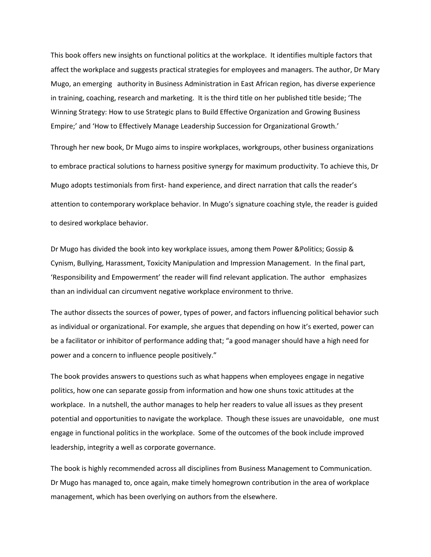This book offers new insights on functional politics at the workplace. It identifies multiple factors that affect the workplace and suggests practical strategies for employees and managers. The author, Dr Mary Mugo, an emerging authority in Business Administration in East African region, has diverse experience in training, coaching, research and marketing. It is the third title on her published title beside; 'The Winning Strategy: How to use Strategic plans to Build Effective Organization and Growing Business Empire;' and 'How to Effectively Manage Leadership Succession for Organizational Growth.'

Through her new book, Dr Mugo aims to inspire workplaces, workgroups, other business organizations to embrace practical solutions to harness positive synergy for maximum productivity. To achieve this, Dr Mugo adopts testimonials from first- hand experience, and direct narration that calls the reader's attention to contemporary workplace behavior. In Mugo's signature coaching style, the reader is guided to desired workplace behavior.

Dr Mugo has divided the book into key workplace issues, among them Power &Politics; Gossip & Cynism, Bullying, Harassment, Toxicity Manipulation and Impression Management. In the final part, 'Responsibility and Empowerment' the reader will find relevant application. The author emphasizes than an individual can circumvent negative workplace environment to thrive.

The author dissects the sources of power, types of power, and factors influencing political behavior such as individual or organizational. For example, she argues that depending on how it's exerted, power can be a facilitator or inhibitor of performance adding that; "a good manager should have a high need for power and a concern to influence people positively."

The book provides answers to questions such as what happens when employees engage in negative politics, how one can separate gossip from information and how one shuns toxic attitudes at the workplace. In a nutshell, the author manages to help her readers to value all issues as they present potential and opportunities to navigate the workplace. Though these issues are unavoidable, one must engage in functional politics in the workplace. Some of the outcomes of the book include improved leadership, integrity a well as corporate governance.

The book is highly recommended across all disciplines from Business Management to Communication. Dr Mugo has managed to, once again, make timely homegrown contribution in the area of workplace management, which has been overlying on authors from the elsewhere.